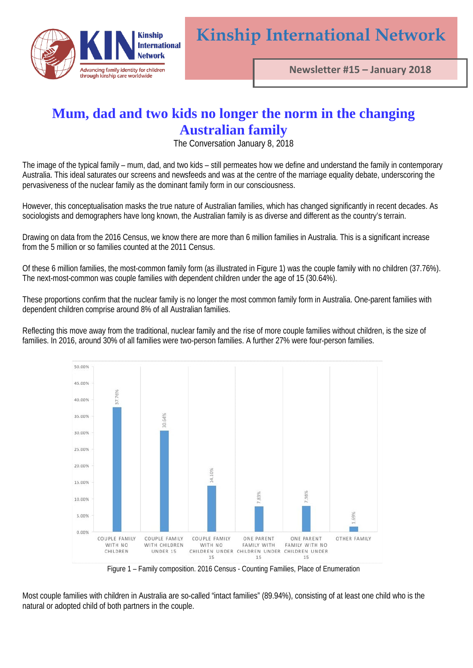

## **Mum, dad and two kids no longer the norm in the changing Australian family**

The Conversation January 8, 2018

The image of the typical family – mum, dad, and two kids – still permeates how we define and understand the family in contemporary Australia. This ideal saturates our screens and newsfeeds and was at the centre of the marriage equality debate, underscoring the pervasiveness of the nuclear family as the dominant family form in our consciousness.

However, this conceptualisation masks the true nature of Australian families, which has changed significantly in recent decades. As sociologists and demographers have long known, the Australian family is as diverse and different as the country's terrain.

Drawing on data from the 2016 Census, we know there are more than 6 million families in Australia. This is a significant increase from the 5 million or so families counted at the 2011 Census.

Of these 6 million families, the most-common family form (as illustrated in Figure 1) was the couple family with no children (37.76%). The next-most-common was couple families with dependent children under the age of 15 (30.64%).

These proportions confirm that the nuclear family is no longer the most common family form in Australia. One-parent families with dependent children comprise around 8% of all Australian families.

Reflecting this move away from the traditional, nuclear family and the rise of more couple families without children, is the size of families. In 2016, around 30% of all families were two-person families. A further 27% were four-person families.



Figure 1 – Family composition. 2016 Census - Counting Families, Place of Enumeration

Most couple families with children in Australia are so-called "intact families" (89.94%), consisting of at least one child who is the natural or adopted child of both partners in the couple.